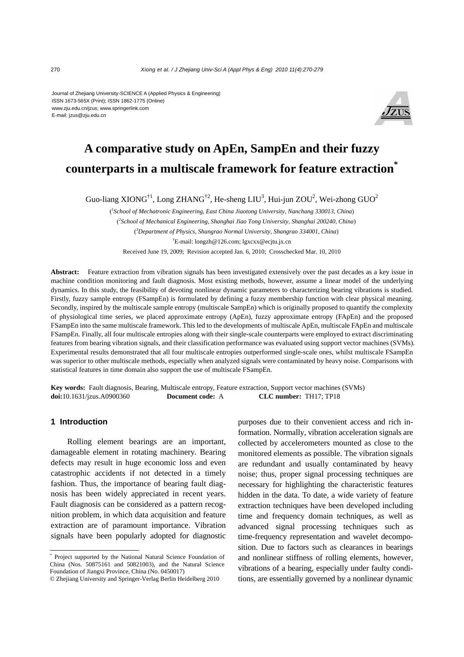Journal of Zhejiang University-SCIENCE A (Applied Physics & Engineering) ISSN 1673-565X (Print); ISSN 1862-1775 (Online) www.zju.edu.cn/jzus; www.springerlink.com E-mail: jzus@zju.edu.cn



## **A comparative study on ApEn, SampEn and their fuzzy counterparts in a multiscale framework for feature extraction\***

Guo-liang XIONG<sup>†1</sup>, Long ZHANG<sup>†2</sup>, He-sheng LIU<sup>3</sup>, Hui-jun ZOU<sup>2</sup>, Wei-zhong GUO<sup>2</sup>

( *1 School of Mechatronic Engineering, East China Jiaotong University, Nanchang 330013, China*) ( *2 School of Mechanical Engineering, Shanghai Jiao Tong University, Shanghai 200240, China*) ( *3 Department of Physics, Shangrao Normal University, Shangrao 334001, China*) † E-mail: longzh@126.com; lgxcxx@ecjtu.jx.cn Received June 19, 2009; Revision accepted Jan. 6, 2010; Crosschecked Mar. 10, 2010

**Abstract:** Feature extraction from vibration signals has been investigated extensively over the past decades as a key issue in machine condition monitoring and fault diagnosis. Most existing methods, however, assume a linear model of the underlying dynamics. In this study, the feasibility of devoting nonlinear dynamic parameters to characterizing bearing vibrations is studied. Firstly, fuzzy sample entropy (FSampEn) is formulated by defining a fuzzy membership function with clear physical meaning. Secondly, inspired by the multiscale sample entropy (multiscale SampEn) which is originally proposed to quantify the complexity of physiological time series, we placed approximate entropy (ApEn), fuzzy approximate entropy (FApEn) and the proposed FSampEn into the same multiscale framework. This led to the developments of multiscale ApEn, multiscale FApEn and multiscale FSampEn. Finally, all four multiscale entropies along with their single-scale counterparts were employed to extract discriminating features from bearing vibration signals, and their classification performance was evaluated using support vector machines (SVMs). Experimental results demonstrated that all four multiscale entropies outperformed single-scale ones, whilst multiscale FSampEn was superior to other multiscale methods, especially when analyzed signals were contaminated by heavy noise. Comparisons with statistical features in time domain also support the use of multiscale FSampEn.

**Key words:** Fault diagnosis, Bearing, Multiscale entropy, Feature extraction, Support vector machines (SVMs) **doi:**10.1631/jzus.A0900360 **Document code:** A **CLC number:** TH17; TP18

## **1 Introduction**

Rolling element bearings are an important, damageable element in rotating machinery. Bearing defects may result in huge economic loss and even catastrophic accidents if not detected in a timely fashion. Thus, the importance of bearing fault diagnosis has been widely appreciated in recent years. Fault diagnosis can be considered as a pattern recognition problem, in which data acquisition and feature extraction are of paramount importance. Vibration signals have been popularly adopted for diagnostic purposes due to their convenient access and rich information. Normally, vibration acceleration signals are collected by accelerometers mounted as close to the monitored elements as possible. The vibration signals are redundant and usually contaminated by heavy noise; thus, proper signal processing techniques are necessary for highlighting the characteristic features hidden in the data. To date, a wide variety of feature extraction techniques have been developed including time and frequency domain techniques, as well as advanced signal processing techniques such as time-frequency representation and wavelet decomposition. Due to factors such as clearances in bearings and nonlinear stiffness of rolling elements, however, vibrations of a bearing, especially under faulty conditions, are essentially governed by a nonlinear dynamic

<sup>\*</sup> Project supported by the National Natural Science Foundation of China (Nos. 50875161 and 50821003), and the Natural Science Foundation of Jiangxi Province, China (No. 0450017)

<sup>©</sup> Zhejiang University and Springer-Verlag Berlin Heidelberg 2010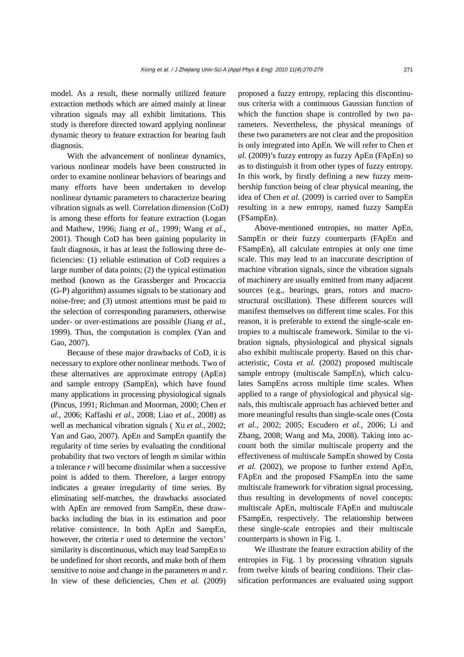model. As a result, these normally utilized feature extraction methods which are aimed mainly at linear vibration signals may all exhibit limitations. This study is therefore directed toward applying nonlinear dynamic theory to feature extraction for bearing fault diagnosis.

With the advancement of nonlinear dynamics, various nonlinear models have been constructed in order to examine nonlinear behaviors of bearings and many efforts have been undertaken to develop nonlinear dynamic parameters to characterize bearing vibration signals as well. Correlation dimension (CoD) is among these efforts for feature extraction (Logan and Mathew, 1996; Jiang *et al.*, 1999; Wang *et al.*, 2001). Though CoD has been gaining popularity in fault diagnosis, it has at least the following three deficiencies: (1) reliable estimation of CoD requires a large number of data points; (2) the typical estimation method (known as the Grassberger and Procaccia (G-P) algorithm) assumes signals to be stationary and noise-free; and (3) utmost attentions must be paid to the selection of corresponding parameters, otherwise under- or over-estimations are possible (Jiang *et al.*, 1999). Thus, the computation is complex (Yan and Gao, 2007).

Because of these major drawbacks of CoD, it is necessary to explore other nonlinear methods. Two of these alternatives are approximate entropy (ApEn) and sample entropy (SampEn), which have found many applications in processing physiological signals (Pincus, 1991; Richman and Moorman, 2000; Chen *et al.*, 2006; Kaffashi *et al.*, 2008; Liao *et al.*, 2008) as well as mechanical vibration signals ( Xu *et al.*, 2002; Yan and Gao, 2007). ApEn and SampEn quantify the regularity of time series by evaluating the conditional probability that two vectors of length *m* similar within a tolerance *r* will become dissimilar when a successive point is added to them. Therefore, a larger entropy indicates a greater irregularity of time series. By eliminating self-matches, the drawbacks associated with ApEn are removed from SampEn, these drawbacks including the bias in its estimation and poor relative consistence. In both ApEn and SampEn, however, the criteria *r* used to determine the vectors' similarity is discontinuous, which may lead SampEn to be undefined for short records, and make both of them sensitive to noise and change in the parameters *m* and *r*. In view of these deficiencies, Chen *et al.* (2009)

proposed a fuzzy entropy, replacing this discontinuous criteria with a continuous Gaussian function of which the function shape is controlled by two parameters. Nevertheless, the physical meanings of these two parameters are not clear and the proposition is only integrated into ApEn. We will refer to Chen *et al.* (2009)'s fuzzy entropy as fuzzy ApEn (FApEn) so as to distinguish it from other types of fuzzy entropy. In this work, by firstly defining a new fuzzy membership function being of clear physical meaning, the idea of Chen *et al.* (2009) is carried over to SampEn resulting in a new entropy, named fuzzy SampEn (FSampEn).

Above-mentioned entropies, no matter ApEn, SampEn or their fuzzy counterparts (FApEn and FSampEn), all calculate entropies at only one time scale. This may lead to an inaccurate description of machine vibration signals, since the vibration signals of machinery are usually emitted from many adjacent sources (e.g., bearings, gears, rotors and macrostructural oscillation). These different sources will manifest themselves on different time scales. For this reason, it is preferable to extend the single-scale entropies to a multiscale framework. Similar to the vibration signals, physiological and physical signals also exhibit multiscale property. Based on this characteristic, Costa *et al.* (2002) proposed multiscale sample entropy (multiscale SampEn), which calculates SampEns across multiple time scales. When applied to a range of physiological and physical signals, this multiscale approach has achieved better and more meaningful results than single-scale ones (Costa *et al.*, 2002; 2005; Escudero *et al.*, 2006; Li and Zhang, 2008; Wang and Ma, 2008). Taking into account both the similar multiscale property and the effectiveness of multiscale SampEn showed by Costa *et al.* (2002), we propose to further extend ApEn, FApEn and the proposed FSampEn into the same multiscale framework for vibration signal processing, thus resulting in developments of novel concepts: multiscale ApEn, multiscale FApEn and multiscale FSampEn, respectively. The relationship between these single-scale entropies and their multiscale counterparts is shown in Fig. 1.

We illustrate the feature extraction ability of the entropies in Fig. 1 by processing vibration signals from twelve kinds of bearing conditions. Their classification performances are evaluated using support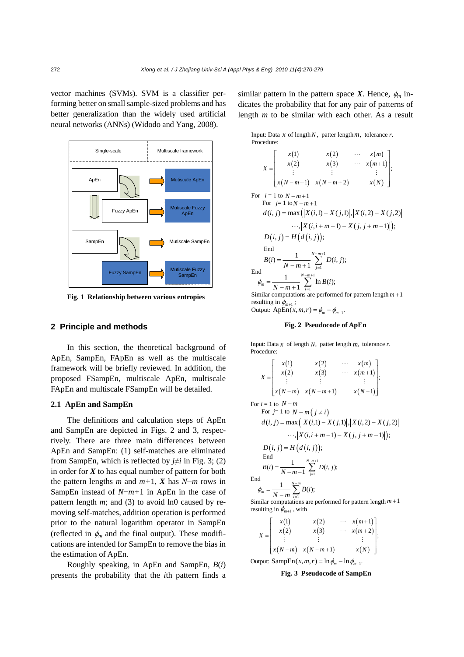vector machines (SVMs). SVM is a classifier performing better on small sample-sized problems and has better generalization than the widely used artificial neural networks (ANNs) (Widodo and Yang, 2008).



**Fig. 1 Relationship between various entropies** 

## **2 Principle and methods**

In this section, the theoretical background of ApEn, SampEn, FApEn as well as the multiscale framework will be briefly reviewed. In addition, the proposed FSampEn, multiscale ApEn, multiscale FApEn and multiscale FSampEn will be detailed.

### **2.1 ApEn and SampEn**

The definitions and calculation steps of ApEn and SampEn are depicted in Figs. 2 and 3, respectively. There are three main differences between ApEn and SampEn: (1) self-matches are eliminated from SampEn, which is reflected by  $j \neq i$  in Fig. 3; (2) in order for *X* to has equal number of pattern for both the pattern lengths *m* and *m+*1, *X* has *N*−*m* rows in SampEn instead of *N*−*m+*1 in ApEn in the case of pattern length  $m$ ; and (3) to avoid ln0 caused by removing self-matches, addition operation is performed prior to the natural logarithm operator in SampEn (reflected in  $\phi_m$  and the final output). These modifications are intended for SampEn to remove the bias in the estimation of ApEn.

Roughly speaking, in ApEn and SampEn, *B*(*i*) presents the probability that the *i*th pattern finds a similar pattern in the pattern space *X*. Hence,  $\phi_m$  indicates the probability that for any pair of patterns of length *m* to be similar with each other. As a result

Input: Data  $x$  of length  $N$ , patter length  $m$ , tolerance  $r$ . Procedure:

$$
X = \begin{bmatrix} x(1) & x(2) & \cdots & x(m) \\ x(2) & x(3) & \cdots & x(m+1) \\ \vdots & \vdots & \vdots & \vdots \\ x(N-m+1) & x(N-m+2) & x(N) \end{bmatrix};
$$
  
\nFor  $i = 1$  to  $N-m+1$   
\nFor  $j = 1$  to  $N-m+1$   
\n $d(i, j) = \max(|X(i, 1) - X(j, 1)|, |X(i, 2) - X(j, 2)|$   
\n $\cdots, |X(i, i + m - 1) - X(j, j + m - 1)|);$   
\n $D(i, j) = H(d(i, j));$   
\nEnd  
\n $B(i) = \frac{1}{N-m+1} \sum_{j=1}^{N-m+1} D(i, j);$   
\nEnd  
\n $\phi_m = \frac{1}{N-m+1} \sum_{i=1}^{N-m+1} \ln B(i);$   
\nSimilar computations are performed for pattern length  $m+1$   
\nresulting in  $\phi_{m+1}$ ;

Output:  $\text{ApEn}(x, m, r) = \phi_m - \phi_{m+1}$ .

#### **Fig. 2 Pseudocode of ApEn**

Input: Data  $x$  of length  $N$ , patter length  $m$ , tolerance  $r$ . Procedure:

$$
X = \begin{bmatrix} x(1) & x(2) & \cdots & x(m) \\ x(2) & x(3) & \cdots & x(m+1) \\ \vdots & \vdots & & \vdots \\ x(N-m) & x(N-m+1) & x(N-1) \end{bmatrix};
$$

For 
$$
i = 1
$$
 to  $N-m$   
\nFor  $j = 1$  to  $N-m$   $(j \neq i)$   
\n
$$
d(i, j) = \max (|X(i, 1) - X(j, 1)|, |X(i, 2) - X(j, 2)|
$$
\n
$$
\cdots, |X(i, i + m - 1) - X(j, j + m - 1)|);
$$
\n
$$
D(i, j) = H(d(i, j));
$$
\nEnd  
\n
$$
B(i) = \frac{1}{N-m-1} \sum_{j=1}^{N-m+1} D(i, j);
$$
\nEnd  
\n
$$
\phi_m = \frac{1}{N-m} \sum_{i=1}^{N-m} B(i);
$$
\nSimilar computations are performed for pattern length  $m+1$ 

resulting in  $\phi_{m+1}$ , with

$$
X = \begin{bmatrix} x(1) & x(2) & \cdots & x(m+1) \\ x(2) & x(3) & \cdots & x(m+2) \\ \vdots & \vdots & & \vdots \\ x(N-m) & x(N-m+1) & x(N) \end{bmatrix};
$$

Output:  $\text{Samplen}(x, m, r) = \ln \phi_m - \ln \phi_{m+1}$ 

#### **Fig. 3 Pseudocode of SampEn**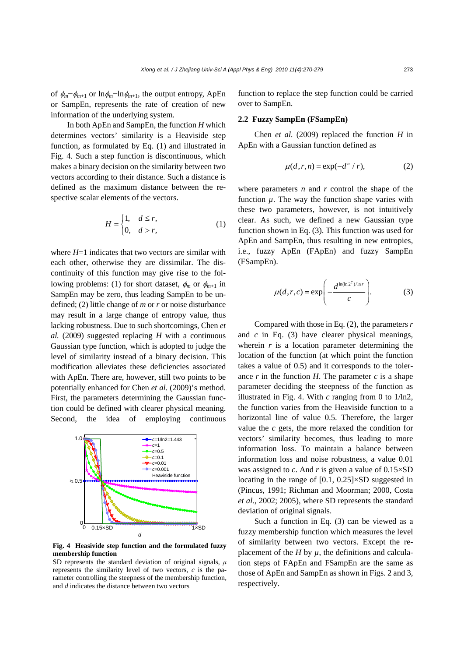of φ*m*−φ*m*+1 or lnφ*m*−lnφ*m*+1, the output entropy, ApEn or SampEn, represents the rate of creation of new information of the underlying system.

In both ApEn and SampEn, the function *H* which determines vectors' similarity is a Heaviside step function, as formulated by Eq. (1) and illustrated in Fig. 4. Such a step function is discontinuous, which makes a binary decision on the similarity between two vectors according to their distance. Such a distance is defined as the maximum distance between the respective scalar elements of the vectors.

$$
H = \begin{cases} 1, & d \le r, \\ 0, & d > r, \end{cases} \tag{1}
$$

where  $H=1$  indicates that two vectors are similar with each other, otherwise they are dissimilar. The discontinuity of this function may give rise to the following problems: (1) for short dataset,  $\phi_m$  or  $\phi_{m+1}$  in SampEn may be zero, thus leading SampEn to be undefined; (2) little change of *m* or *r* or noise disturbance may result in a large change of entropy value, thus lacking robustness. Due to such shortcomings, Chen *et al.* (2009) suggested replacing *H* with a continuous Gaussian type function, which is adopted to judge the level of similarity instead of a binary decision. This modification alleviates these deficiencies associated with ApEn. There are, however, still two points to be potentially enhanced for Chen et al. (2009)'s method. First, the parameters determining the Gaussian function could be defined with clearer physical meaning. Second, the idea of employing continuous



**Fig. 4 Heasivide step function and the formulated fuzzy membership function** 

SD represents the standard deviation of original signals, *μ* represents the similarity level of two vectors, *c* is the parameter controlling the steepness of the membership function, and *d* indicates the distance between two vectors

function to replace the step function could be carried over to SampEn.

#### **2.2 Fuzzy SampEn (FSampEn)**

Chen *et al.* (2009) replaced the function *H* in ApEn with a Gaussian function defined as

$$
\mu(d,r,n) = \exp(-d^n / r),\tag{2}
$$

where parameters *n* and *r* control the shape of the function  $\mu$ . The way the function shape varies with these two parameters, however, is not intuitively clear. As such, we defined a new Gaussian type function shown in Eq. (3). This function was used for ApEn and SampEn, thus resulting in new entropies, i.e., fuzzy ApEn (FApEn) and fuzzy SampEn (FSampEn).

$$
\mu(d,r,c) = \exp\left(-\frac{d^{\ln(\ln 2^c)/\ln r}}{c}\right).
$$
 (3)

Compared with those in Eq. (2), the parameters *r*  and *c* in Eq. (3) have clearer physical meanings, wherein  $r$  is a location parameter determining the location of the function (at which point the function takes a value of 0.5) and it corresponds to the tolerance  $r$  in the function  $H$ . The parameter  $c$  is a shape parameter deciding the steepness of the function as illustrated in Fig. 4. With *c* ranging from 0 to 1/ln2, the function varies from the Heaviside function to a horizontal line of value 0.5. Therefore, the larger value the *c* gets, the more relaxed the condition for vectors' similarity becomes, thus leading to more information loss. To maintain a balance between information loss and noise robustness, a value 0.01 was assigned to *c*. And *r* is given a value of 0.15×SD locating in the range of  $[0.1, 0.25] \times SD$  suggested in (Pincus, 1991; Richman and Moorman; 2000, Costa *et al.*, 2002; 2005), where SD represents the standard deviation of original signals.

Such a function in Eq. (3) can be viewed as a fuzzy membership function which measures the level of similarity between two vectors. Except the replacement of the  $H$  by  $\mu$ , the definitions and calculation steps of FApEn and FSampEn are the same as those of ApEn and SampEn as shown in Figs. 2 and 3, respectively.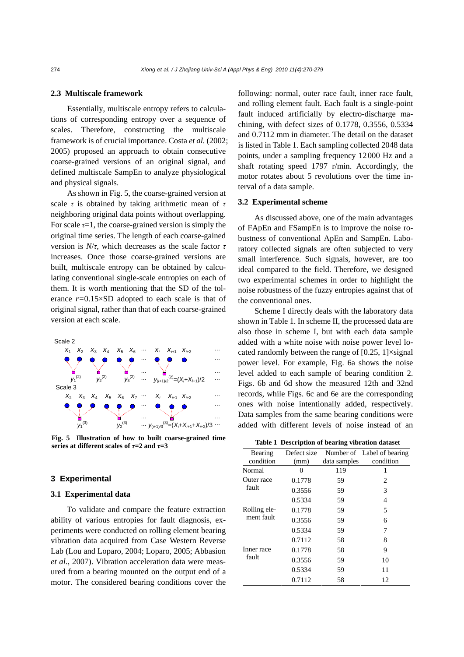#### **2.3 Multiscale framework**

Essentially, multiscale entropy refers to calculations of corresponding entropy over a sequence of scales. Therefore, constructing the multiscale framework is of crucial importance. Costa *et al.* (2002; 2005) proposed an approach to obtain consecutive coarse-grained versions of an original signal, and defined multiscale SampEn to analyze physiological and physical signals.

As shown in Fig. 5, the coarse-grained version at scale *τ* is obtained by taking arithmetic mean of *τ* neighboring original data points without overlapping. For scale  $\tau=1$ , the coarse-grained version is simply the original time series. The length of each coarse-gained version is *N*/*τ*, which decreases as the scale factor *τ* increases. Once those coarse-grained versions are built, multiscale entropy can be obtained by calculating conventional single-scale entropies on each of them. It is worth mentioning that the SD of the tolerance *r=*0.15×SD adopted to each scale is that of original signal, rather than that of each coarse-grained version at each scale.



**Fig. 5 Illustration of how to built coarse-grained time series at different scales of** *τ***=2 and** *τ***=3**

## **3 Experimental**

### **3.1 Experimental data**

To validate and compare the feature extraction ability of various entropies for fault diagnosis, experiments were conducted on rolling element bearing vibration data acquired from Case Western Reverse Lab (Lou and Loparo, 2004; Loparo, 2005; Abbasion *et al.*, 2007). Vibration acceleration data were measured from a bearing mounted on the output end of a motor. The considered bearing conditions cover the

following: normal, outer race fault, inner race fault, and rolling element fault. Each fault is a single-point fault induced artificially by electro-discharge machining, with defect sizes of 0.1778, 0.3556, 0.5334 and 0.7112 mm in diameter. The detail on the dataset is listed in Table 1. Each sampling collected 2048 data points, under a sampling frequency 12000 Hz and a shaft rotating speed 1797 r/min. Accordingly, the motor rotates about 5 revolutions over the time interval of a data sample.

#### **3.2 Experimental scheme**

As discussed above, one of the main advantages of FApEn and FSampEn is to improve the noise robustness of conventional ApEn and SampEn. Laboratory collected signals are often subjected to very small interference. Such signals, however, are too ideal compared to the field. Therefore, we designed two experimental schemes in order to highlight the noise robustness of the fuzzy entropies against that of the conventional ones.

Scheme I directly deals with the laboratory data shown in Table 1. In scheme II, the processed data are also those in scheme I, but with each data sample added with a white noise with noise power level located randomly between the range of  $[0.25, 1] \times$ signal power level. For example, Fig. 6a shows the noise level added to each sample of bearing condition 2. Figs. 6b and 6d show the measured 12th and 32nd records, while Figs. 6c and 6e are the corresponding ones with noise intentionally added, respectively. Data samples from the same bearing conditions were added with different levels of noise instead of an

**Table 1 Description of bearing vibration dataset** 

| Bearing                    | Defect size |              | Number of Label of bearing |
|----------------------------|-------------|--------------|----------------------------|
| condition                  | (mm)        | data samples | condition                  |
| Normal                     |             | 119          | 1                          |
| Outer race<br>fault        | 0.1778      | 59           | 2                          |
|                            | 0.3556      | 59           | 3                          |
|                            | 0.5334      | 59           | 4                          |
| Rolling ele-<br>ment fault | 0.1778      | 59           | 5                          |
|                            | 0.3556      | 59           | 6                          |
|                            | 0.5334      | 59           | 7                          |
|                            | 0.7112      | 58           | 8                          |
| Inner race<br>fault        | 0.1778      | 58           | 9                          |
|                            | 0.3556      | 59           | 10                         |
|                            | 0.5334      | 59           | 11                         |
|                            | 0.7112      | 58           | 12                         |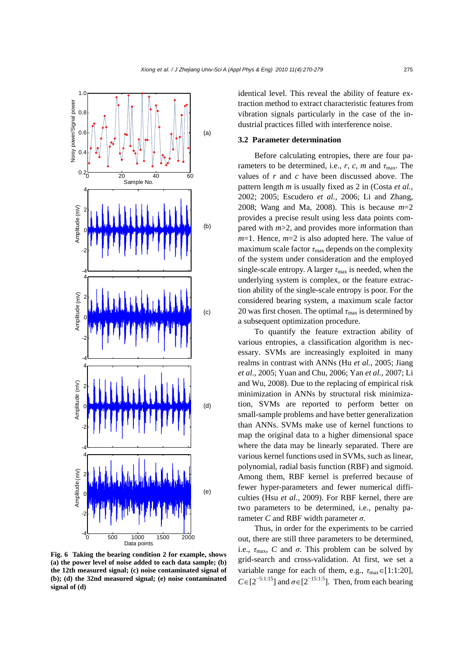

**Fig. 6 Taking the bearing condition 2 for example, shows (a) the power level of noise added to each data sample; (b) the 12th measured signal; (c) noise contaminated signal of (b); (d) the 32nd measured signal; (e) noise contaminated signal of (d)**

identical level. This reveal the ability of feature extraction method to extract characteristic features from vibration signals particularly in the case of the industrial practices filled with interference noise.

## **3.2 Parameter determination**

Before calculating entropies, there are four parameters to be determined, i.e., *r*, *c*, *m* and  $\tau_{\text{max}}$ . The values of *r* and *c* have been discussed above. The pattern length *m* is usually fixed as 2 in (Costa *et al.*, 2002; 2005; Escudero *et al.*, 2006; Li and Zhang, 2008; Wang and Ma, 2008). This is because *m*=2 provides a precise result using less data points compared with *m*>2, and provides more information than *m*=1. Hence, *m*=2 is also adopted here. The value of maximum scale factor  $\tau_{\text{max}}$  depends on the complexity of the system under consideration and the employed single-scale entropy. A larger  $\tau_{\text{max}}$  is needed, when the underlying system is complex, or the feature extraction ability of the single-scale entropy is poor. For the considered bearing system, a maximum scale factor 20 was first chosen. The optimal  $\tau_{\text{max}}$  is determined by a subsequent optimization procedure.

To quantify the feature extraction ability of various entropies, a classification algorithm is necessary. SVMs are increasingly exploited in many realms in contrast with ANNs (Hu *et al.*, 2005; Jiang *et al.*, 2005; Yuan and Chu, 2006; Yan *et al.*, 2007; Li and Wu, 2008). Due to the replacing of empirical risk minimization in ANNs by structural risk minimization, SVMs are reported to perform better on small-sample problems and have better generalization than ANNs. SVMs make use of kernel functions to map the original data to a higher dimensional space where the data may be linearly separated. There are various kernel functions used in SVMs, such as linear, polynomial, radial basis function (RBF) and sigmoid. Among them, RBF kernel is preferred because of fewer hyper-parameters and fewer numerical difficulties (Hsu *et al.*, 2009). For RBF kernel, there are two parameters to be determined, i.e., penalty parameter *C* and RBF width parameter *σ*.

Thus, in order for the experiments to be carried out, there are still three parameters to be determined, i.e.,  $\tau_{\text{max}}$ , *C* and  $\sigma$ . This problem can be solved by grid-search and cross-validation. At first, we set a variable range for each of them, e.g.,  $\tau_{\text{max}} \in [1:1:20]$ ,  $C \in [2^{-5:1:15}]$  and  $\sigma \in [2^{-15:1:5}]$ . Then, from each bearing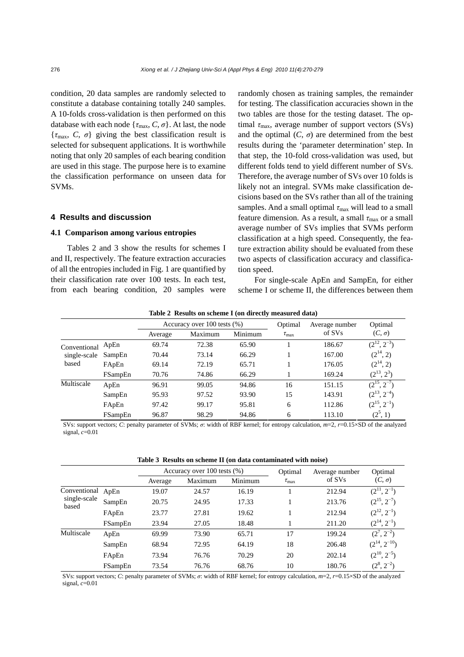condition, 20 data samples are randomly selected to constitute a database containing totally 240 samples. A 10-folds cross-validation is then performed on this database with each node  $\{\tau_{\text{max}}, C, \sigma\}$ . At last, the node  ${\tau_{\text{max}}}, C, \sigma$  giving the best classification result is selected for subsequent applications. It is worthwhile noting that only 20 samples of each bearing condition are used in this stage. The purpose here is to examine the classification performance on unseen data for SVMs.

### **4 Results and discussion**

#### **4.1 Comparison among various entropies**

Tables 2 and 3 show the results for schemes I and II, respectively. The feature extraction accuracies of all the entropies included in Fig. 1 are quantified by their classification rate over 100 tests. In each test, from each bearing condition, 20 samples were randomly chosen as training samples, the remainder for testing. The classification accuracies shown in the two tables are those for the testing dataset. The optimal  $\tau_{\text{max}}$ , average number of support vectors (SVs) and the optimal  $(C, \sigma)$  are determined from the best results during the 'parameter determination' step. In that step, the 10-fold cross-validation was used, but different folds tend to yield different number of SVs. Therefore, the average number of SVs over 10 folds is likely not an integral. SVMs make classification decisions based on the SVs rather than all of the training samples. And a small optimal  $\tau_{\text{max}}$  will lead to a small feature dimension. As a result, a small  $\tau_{\text{max}}$  or a small average number of SVs implies that SVMs perform classification at a high speed. Consequently, the feature extraction ability should be evaluated from these two aspects of classification accuracy and classification speed.

For single-scale ApEn and SampEn, for either scheme I or scheme II, the differences between them

**Table 2 Results on scheme I (on directly measured data)**

|                                       |         |                             |         | $\cdot$ |                  |                |                    |
|---------------------------------------|---------|-----------------------------|---------|---------|------------------|----------------|--------------------|
|                                       |         | Accuracy over 100 tests (%) |         |         | Optimal          | Average number | Optimal            |
|                                       |         | Average                     | Maximum | Minimum | $\tau_{\rm max}$ | of SVs         | $(C, \sigma)$      |
| Conventional<br>single-scale<br>based | ApEn    | 69.74                       | 72.38   | 65.90   |                  | 186.67         | $(2^{12}, 2^{-3})$ |
|                                       | SampEn  | 70.44                       | 73.14   | 66.29   |                  | 167.00         | $(2^{14}, 2)$      |
|                                       | FApEn   | 69.14                       | 72.19   | 65.71   |                  | 176.05         | $(2^{14}, 2)$      |
|                                       | FSampEn | 70.76                       | 74.86   | 66.29   |                  | 169.24         | $(2^{13}, 2^3)$    |
| Multiscale                            | ApEn    | 96.91                       | 99.05   | 94.86   | 16               | 151.15         | $(2^{15}, 2^{-7})$ |
|                                       | SampEn  | 95.93                       | 97.52   | 93.90   | 15               | 143.91         | $(2^{13}, 2^{-4})$ |
|                                       | FApEn   | 97.42                       | 99.17   | 95.81   | 6                | 112.86         | $(2^{15}, 2^{-1})$ |
|                                       | FSampEn | 96.87                       | 98.29   | 94.86   | 6                | 113.10         | $(2^5, 1)$         |

SVs: support vectors; *C*: penalty parameter of SVMs; *σ*: width of RBF kernel; for entropy calculation, *m*=2, *r*=0.15×SD of the analyzed signal, *c*=0.01

**Table 3 Results on scheme II (on data contaminated with noise)**

|                       |         | Accuracy over 100 tests (%) |         |         | Optimal          | Average number | Optimal             |
|-----------------------|---------|-----------------------------|---------|---------|------------------|----------------|---------------------|
|                       |         | Average                     | Maximum | Minimum | $\tau_{\rm max}$ | of SVs         | $(C, \sigma)$       |
| Conventional          | ApEn    | 19.07                       | 24.57   | 16.19   |                  | 212.94         | $(2^{11}, 2^{-1})$  |
| single-scale<br>based | SampEn  | 20.75                       | 24.95   | 17.33   |                  | 213.76         | $(2^{15}, 2^{-7})$  |
|                       | FApEn   | 23.77                       | 27.81   | 19.62   |                  | 212.94         | $(2^{12}, 2^{-1})$  |
|                       | FSampEn | 23.94                       | 27.05   | 18.48   |                  | 211.20         | $(2^{14}, 2^{-1})$  |
| Multiscale            | ApEn    | 69.99                       | 73.90   | 65.71   | 17               | 199.24         | $(2^7, 2^{-2})$     |
|                       | SampEn  | 68.94                       | 72.95   | 64.19   | 18               | 206.48         | $(2^{14}, 2^{-10})$ |
|                       | FApEn   | 73.94                       | 76.76   | 70.29   | 20               | 202.14         | $(2^{10}, 2^{-5})$  |
|                       | FSampEn | 73.54                       | 76.76   | 68.76   | 10               | 180.76         | $(2^8, 2^{-2})$     |

SVs: support vectors; *C*: penalty parameter of SVMs; *σ*: width of RBF kernel; for entropy calculation, *m*=2, *r*=0.15×SD of the analyzed signal, *c*=0.01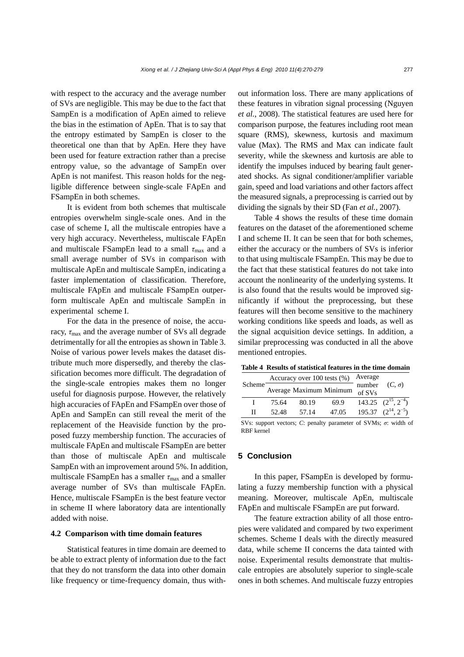with respect to the accuracy and the average number of SVs are negligible. This may be due to the fact that SampEn is a modification of ApEn aimed to relieve the bias in the estimation of ApEn. That is to say that the entropy estimated by SampEn is closer to the theoretical one than that by ApEn. Here they have been used for feature extraction rather than a precise entropy value, so the advantage of SampEn over ApEn is not manifest. This reason holds for the negligible difference between single-scale FApEn and FSampEn in both schemes.

It is evident from both schemes that multiscale entropies overwhelm single-scale ones. And in the case of scheme I, all the multiscale entropies have a very high accuracy. Nevertheless, multiscale FApEn and multiscale FSampEn lead to a small  $\tau_{\text{max}}$  and a small average number of SVs in comparison with multiscale ApEn and multiscale SampEn, indicating a faster implementation of classification. Therefore, multiscale FApEn and multiscale FSampEn outperform multiscale ApEn and multiscale SampEn in experimental scheme I.

For the data in the presence of noise, the accuracy, *τ*max and the average number of SVs all degrade detrimentally for all the entropies as shown in Table 3. Noise of various power levels makes the dataset distribute much more dispersedly, and thereby the classification becomes more difficult. The degradation of the single-scale entropies makes them no longer useful for diagnosis purpose. However, the relatively high accuracies of FApEn and FSampEn over those of ApEn and SampEn can still reveal the merit of the replacement of the Heaviside function by the proposed fuzzy membership function. The accuracies of multiscale FApEn and multiscale FSampEn are better than those of multiscale ApEn and multiscale SampEn with an improvement around 5%. In addition, multiscale FSampEn has a smaller  $\tau_{\text{max}}$  and a smaller average number of SVs than multiscale FApEn. Hence, multiscale FSampEn is the best feature vector in scheme II where laboratory data are intentionally added with noise.

## **4.2 Comparison with time domain features**

Statistical features in time domain are deemed to be able to extract plenty of information due to the fact that they do not transform the data into other domain like frequency or time-frequency domain, thus without information loss. There are many applications of these features in vibration signal processing (Nguyen *et al.*, 2008). The statistical features are used here for comparison purpose, the features including root mean square (RMS), skewness, kurtosis and maximum value (Max). The RMS and Max can indicate fault severity, while the skewness and kurtosis are able to identify the impulses induced by bearing fault generated shocks. As signal conditioner/amplifier variable gain, speed and load variations and other factors affect the measured signals, a preprocessing is carried out by dividing the signals by their SD (Fan *et al.*, 2007).

Table 4 shows the results of these time domain features on the dataset of the aforementioned scheme I and scheme II. It can be seen that for both schemes, either the accuracy or the numbers of SVs is inferior to that using multiscale FSampEn. This may be due to the fact that these statistical features do not take into account the nonlinearity of the underlying systems. It is also found that the results would be improved significantly if without the preprocessing, but these features will then become sensitive to the machinery working conditions like speeds and loads, as well as the signal acquisition device settings. In addition, a similar preprocessing was conducted in all the above mentioned entropies.

**Table 4 Results of statistical features in the time domain**

|        |       | Accuracy over 100 tests (%) Average |       |                                |                           |
|--------|-------|-------------------------------------|-------|--------------------------------|---------------------------|
| Scheme |       | Average Maximum Minimum             |       | number $(C, \sigma)$<br>of SVs |                           |
|        | 75.64 | 80.19                               | 69.9  |                                | 143.25 $(2^{15}, 2^{-4})$ |
|        | 52.48 | 57.14                               | 47.05 |                                | 195.37 $(2^{14}, 2^{-5})$ |
|        |       |                                     |       |                                |                           |

 SVs: support vectors; *C*: penalty parameter of SVMs; *σ*: width of RBF kernel

## **5 Conclusion**

In this paper, FSampEn is developed by formulating a fuzzy membership function with a physical meaning. Moreover, multiscale ApEn, multiscale FApEn and multiscale FSampEn are put forward.

The feature extraction ability of all those entropies were validated and compared by two experiment schemes. Scheme I deals with the directly measured data, while scheme II concerns the data tainted with noise. Experimental results demonstrate that multiscale entropies are absolutely superior to single-scale ones in both schemes. And multiscale fuzzy entropies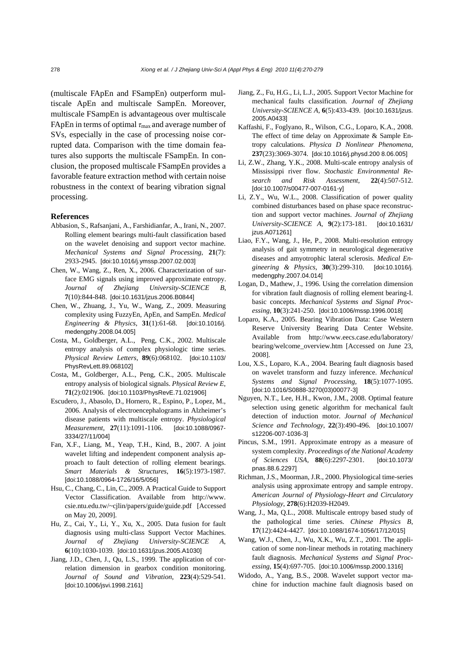(multiscale FApEn and FSampEn) outperform multiscale ApEn and multiscale SampEn. Moreover, multiscale FSampEn is advantageous over multiscale FApEn in terms of optimal  $\tau_{\text{max}}$  and average number of SVs, especially in the case of processing noise corrupted data. Comparison with the time domain features also supports the multiscale FSampEn. In conclusion, the proposed multiscale FSampEn provides a favorable feature extraction method with certain noise robustness in the context of bearing vibration signal processing.

#### **References**

- Abbasion, S., Rafsanjani, A., Farshidianfar, A., Irani, N., 2007. Rolling element bearings multi-fault classification based on the wavelet denoising and support vector machine. *Mechanical Systems and Signal Processing*, **21**(7): 2933-2945. [doi:10.1016/j.ymssp.2007.02.003]
- Chen, W., Wang, Z., Ren, X., 2006. Characterization of surface EMG signals using improved approximate entropy. *Journal of Zhejiang University-SCIENCE B*, **7**(10):844-848. [doi:10.1631/jzus.2006.B0844]
- Chen, W., Zhuang, J., Yu, W., Wang, Z., 2009. Measuring complexity using FuzzyEn, ApEn, and SampEn. *Medical Engineering & Physics*, **31**(1):61-68. [doi:10.1016/j. medengphy.2008.04.005]
- Costa, M., Goldberger, A.L., Peng, C.K., 2002. Multiscale entropy analysis of complex physiologic time series. *Physical Review Letters*, **89**(6):068102. [doi:10.1103/ PhysRevLett.89.068102]
- Costa, M., Goldberger, A.L., Peng, C.K., 2005. Multiscale entropy analysis of biological signals. *Physical Review E*, **71**(2):021906. [doi:10.1103/PhysRevE.71.021906]
- Escudero, J., Abasolo, D., Hornero, R., Espino, P., Lopez, M., 2006. Analysis of electroencephalograms in Alzheimer's disease patients with multiscale entropy. *Physiological Measurement*, **27**(11):1091-1106. [doi:10.1088/0967- 3334/27/11/004]
- Fan, X.F., Liang, M., Yeap, T.H., Kind, B., 2007. A joint wavelet lifting and independent component analysis approach to fault detection of rolling element bearings. *Smart Materials & Structures*, **16**(5):1973-1987. [doi:10.1088/0964-1726/16/5/056]
- Hsu, C., Chang, C., Lin, C., 2009. A Practical Guide to Support Vector Classification. Available from http://www. csie.ntu.edu.tw/~cjlin/papers/guide/guide.pdf [Accessed on May 20, 2009].
- Hu, Z., Cai, Y., Li, Y., Xu, X., 2005. Data fusion for fault diagnosis using multi-class Support Vector Machines. *Journal of Zhejiang University-SCIENCE A*, **6**(10):1030-1039. [doi:10.1631/jzus.2005.A1030]
- Jiang, J.D., Chen, J., Qu, L.S., 1999. The application of correlation dimension in gearbox condition monitoring. *Journal of Sound and Vibration*, **223**(4):529-541. [doi:10.1006/jsvi.1998.2161]
- Jiang, Z., Fu, H.G., Li, L.J., 2005. Support Vector Machine for mechanical faults classification. *Journal of Zhejiang University-SCIENCE A*, **6**(5):433-439. [doi:10.1631/jzus. 2005.A0433]
- Kaffashi, F., Foglyano, R., Wilson, C.G., Loparo, K.A., 2008. The effect of time delay on Approximate & Sample Entropy calculations. *Physica D Nonlinear Phenomena*, **237**(23):3069-3074. [doi:10.1016/j.physd.200 8.06.005]
- Li, Z.W., Zhang, Y.K., 2008. Multi-scale entropy analysis of Mississippi river flow. *Stochastic Environmental Research and Risk Assessment*, **22**(4):507-512. [doi:10.1007/s00477-007-0161-y]
- Li, Z.Y., Wu, W.L., 2008. Classification of power quality combined disturbances based on phase space reconstruction and support vector machines. *Journal of Zhejiang University-SCIENCE A*, **9**(2):173-181. [doi:10.1631/ jzus.A071261]
- Liao, F.Y., Wang, J., He, P., 2008. Multi-resolution entropy analysis of gait symmetry in neurological degenerative diseases and amyotrophic lateral sclerosis. *Medical Engineering & Physics*, **30**(3):299-310. [doi:10.1016/j. medengphy.2007.04.014]
- Logan, D., Mathew, J., 1996. Using the correlation dimension for vibration fault diagnosis of rolling element bearing-I. basic concepts. *Mechanical Systems and Signal Processing,* **10**(3):241-250. [doi:10.1006/mssp.1996.0018]
- Loparo, K.A., 2005. Bearing Vibration Data: Case Western Reserve University Bearing Data Center Website. Available from http://www.eecs.case.edu/laboratory/ bearing/welcome\_overview.htm [Accessed on June 23, 2008].
- Lou, X.S., Loparo, K.A., 2004. Bearing fault diagnosis based on wavelet transform and fuzzy inference. *Mechanical Systems and Signal Processing*, **18**(5):1077-1095. [doi:10.1016/S0888-3270(03)00077-3]
- Nguyen, N.T., Lee, H.H., Kwon, J.M., 2008. Optimal feature selection using genetic algorithm for mechanical fault detection of induction motor. *Journal of Mechanical Science and Technology*, **22**(3):490-496. [doi:10.1007/ s12206-007-1036-3]
- Pincus, S.M., 1991. Approximate entropy as a measure of system complexity. *Proceedings of the National Academy of Sciences USA*, **88**(6):2297-2301. [doi:10.1073/ pnas.88.6.2297]
- Richman, J.S., Moorman, J.R., 2000. Physiological time-series analysis using approximate entropy and sample entropy. *American Journal of Physiology-Heart and Circulatory Physiology*, **278**(6):H2039-H2049.
- Wang, J., Ma, Q.L., 2008. Multiscale entropy based study of the pathological time series. *Chinese Physics B*, **17**(12):4424-4427. [doi:10.1088/1674-1056/17/12/015]
- Wang, W.J., Chen, J., Wu, X.K., Wu, Z.T., 2001. The application of some non-linear methods in rotating machinery fault diagnosis. *Mechanical Systems and Signal Processing*, **15**(4):697-705. [doi:10.1006/mssp.2000.1316]
- Widodo, A., Yang, B.S., 2008. Wavelet support vector machine for induction machine fault diagnosis based on